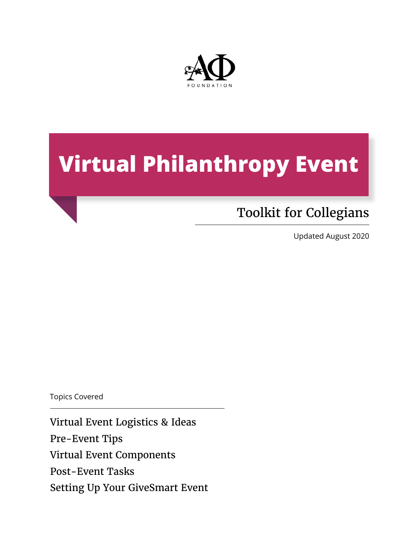

# **Virtual Philanthropy Event**

# Toolkit for Collegians

Updated August 2020

Topics Covered

Virtual Event Logistics & Ideas Pre-Event Tips Virtual Event Components Post-Event Tasks Setting Up Your GiveSmart Event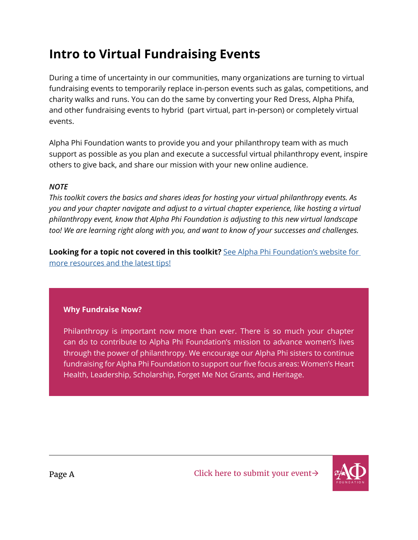# **Intro to Virtual Fundraising Events**

During a time of uncertainty in our communities, many organizations are turning to virtual fundraising events to temporarily replace in-person events such as galas, competitions, and charity walks and runs. You can do the same by converting your Red Dress, Alpha Phifa, and other fundraising events to hybrid (part virtual, part in-person) or completely virtual events.

Alpha Phi Foundation wants to provide you and your philanthropy team with as much support as possible as you plan and execute a successful virtual philanthropy event, inspire others to give back, and share our mission with your new online audience.

#### *NOTE*

*This toolkit covers the basics and shares ideas for hosting your virtual philanthropy events. As you and your chapter navigate and adjust to a virtual chapter experience, like hosting a virtual philanthropy event, know that Alpha Phi Foundation is adjusting to this new virtual landscape too! We are learning right along with you, and want to know of your successes and challenges.* 

**Looking for a topic not covered in this toolkit?** See Alpha Phi Foundation's website for [more resources and the latest tips!](https://www.alphaphifoundation.org/resources/toolkit/)

#### **Why Fundraise Now?**

Philanthropy is important now more than ever. There is so much your chapter can do to contribute to Alpha Phi Foundation's mission to advance women's lives through the power of philanthropy. We encourage our Alpha Phi sisters to continue fundraising for Alpha Phi Foundation to support our five focus areas: Women's Heart Health, Leadership, Scholarship, Forget Me Not Grants, and Heritage.

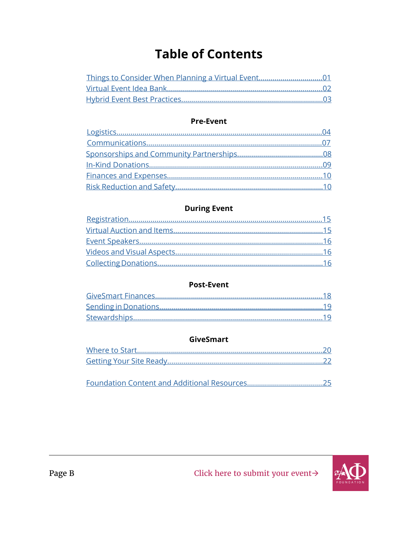# **Table of Contents**

#### **Pre-Event**

### **During Event**

#### **Post-Event**

#### **GiveSmart**

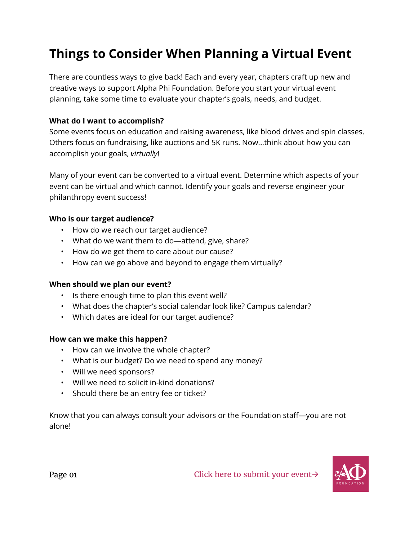# <span id="page-3-0"></span>**Things to Consider When Planning a Virtual Event**

There are countless ways to give back! Each and every year, chapters craft up new and creative ways to support Alpha Phi Foundation. Before you start your virtual event planning, take some time to evaluate your chapter's goals, needs, and budget.

#### **What do I want to accomplish?**

Some events focus on education and raising awareness, like blood drives and spin classes. Others focus on fundraising, like auctions and 5K runs. Now...think about how you can accomplish your goals, *virtually*!

Many of your event can be converted to a virtual event. Determine which aspects of your event can be virtual and which cannot. Identify your goals and reverse engineer your philanthropy event success!

#### **Who is our target audience?**

- How do we reach our target audience?
- What do we want them to do—attend, give, share?
- How do we get them to care about our cause?
- How can we go above and beyond to engage them virtually?

#### **When should we plan our event?**

- Is there enough time to plan this event well?
- What does the chapter's social calendar look like? Campus calendar?
- Which dates are ideal for our target audience?

#### **How can we make this happen?**

- How can we involve the whole chapter?
- What is our budget? Do we need to spend any money?
- Will we need sponsors?
- Will we need to solicit in-kind donations?
- Should there be an entry fee or ticket?

Know that you can always consult your advisors or the Foundation staff—you are not alone!

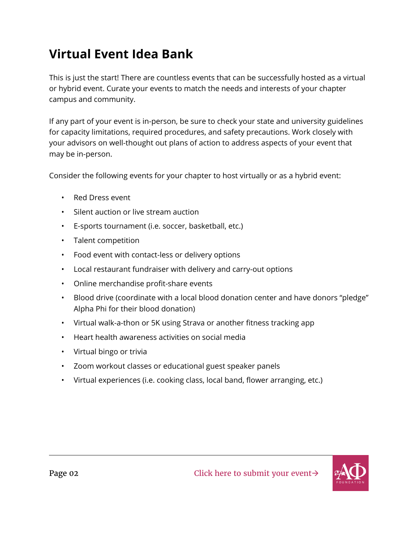# <span id="page-4-0"></span>**Virtual Event Idea Bank**

This is just the start! There are countless events that can be successfully hosted as a virtual or hybrid event. Curate your events to match the needs and interests of your chapter campus and community.

If any part of your event is in-person, be sure to check your state and university guidelines for capacity limitations, required procedures, and safety precautions. Work closely with your advisors on well-thought out plans of action to address aspects of your event that may be in-person.

Consider the following events for your chapter to host virtually or as a hybrid event:

- Red Dress event
- Silent auction or live stream auction
- E-sports tournament (i.e. soccer, basketball, etc.)
- Talent competition
- Food event with contact-less or delivery options
- Local restaurant fundraiser with delivery and carry-out options
- Online merchandise profit-share events
- Blood drive (coordinate with a local blood donation center and have donors "pledge" Alpha Phi for their blood donation)
- Virtual walk-a-thon or 5K using Strava or another fitness tracking app
- Heart health awareness activities on social media
- Virtual bingo or trivia
- Zoom workout classes or educational guest speaker panels
- Virtual experiences (i.e. cooking class, local band, flower arranging, etc.)

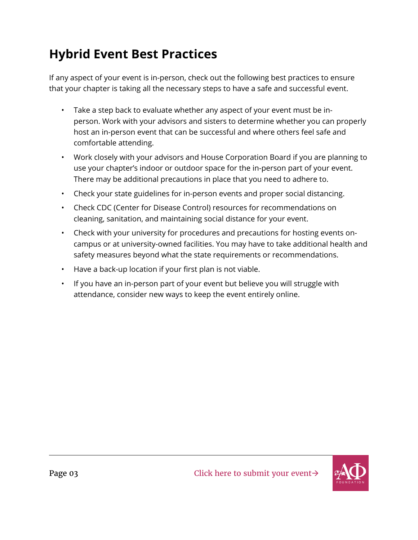# <span id="page-5-0"></span>**Hybrid Event Best Practices**

If any aspect of your event is in-person, check out the following best practices to ensure that your chapter is taking all the necessary steps to have a safe and successful event.

- Take a step back to evaluate whether any aspect of your event must be inperson. Work with your advisors and sisters to determine whether you can properly host an in-person event that can be successful and where others feel safe and comfortable attending.
- Work closely with your advisors and House Corporation Board if you are planning to use your chapter's indoor or outdoor space for the in-person part of your event. There may be additional precautions in place that you need to adhere to.
- Check your state guidelines for in-person events and proper social distancing.
- Check CDC (Center for Disease Control) resources for recommendations on cleaning, sanitation, and maintaining social distance for your event.
- Check with your university for procedures and precautions for hosting events oncampus or at university-owned facilities. You may have to take additional health and safety measures beyond what the state requirements or recommendations.
- Have a back-up location if your first plan is not viable.
- If you have an in-person part of your event but believe you will struggle with attendance, consider new ways to keep the event entirely online.

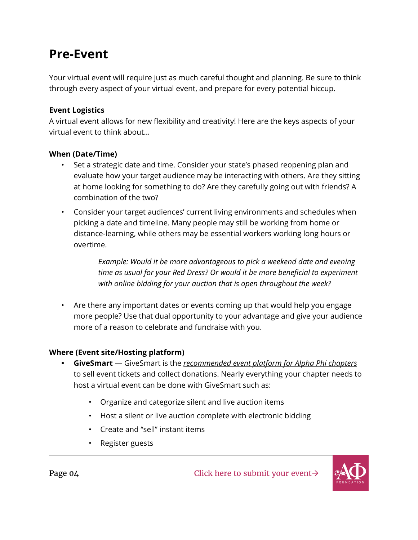### <span id="page-6-0"></span>**Pre-Event**

Your virtual event will require just as much careful thought and planning. Be sure to think through every aspect of your virtual event, and prepare for every potential hiccup.

#### **Event Logistics**

A virtual event allows for new flexibility and creativity! Here are the keys aspects of your virtual event to think about…

#### **When (Date/Time)**

- Set a strategic date and time. Consider your state's phased reopening plan and evaluate how your target audience may be interacting with others. Are they sitting at home looking for something to do? Are they carefully going out with friends? A combination of the two?
- Consider your target audiences' current living environments and schedules when picking a date and timeline. Many people may still be working from home or distance-learning, while others may be essential workers working long hours or overtime.

*Example: Would it be more advantageous to pick a weekend date and evening time as usual for your Red Dress? Or would it be more beneficial to experiment with online bidding for your auction that is open throughout the week?*

• Are there any important dates or events coming up that would help you engage more people? Use that dual opportunity to your advantage and give your audience more of a reason to celebrate and fundraise with you.

#### **Where (Event site/Hosting platform)**

- **• GiveSmart** GiveSmart is the *recommended event platform for Alpha Phi chapters* to sell event tickets and collect donations. Nearly everything your chapter needs to host a virtual event can be done with GiveSmart such as:
	- Organize and categorize silent and live auction items
	- Host a silent or live auction complete with electronic bidding
	- Create and "sell" instant items
	- Register guests

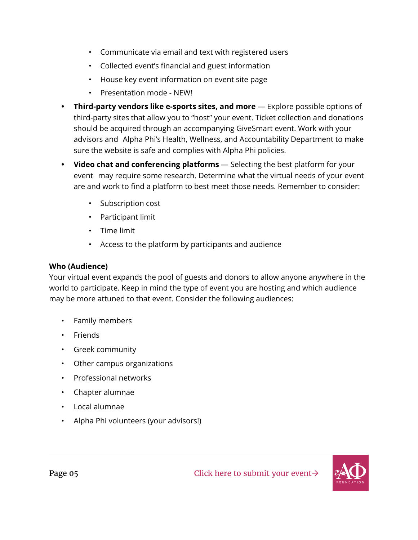- Communicate via email and text with registered users
- Collected event's financial and guest information
- House key event information on event site page
- Presentation mode NEW!
- **• Third-party vendors like e-sports sites, and more** Explore possible options of third-party sites that allow you to "host" your event. Ticket collection and donations should be acquired through an accompanying GiveSmart event. Work with your advisors and Alpha Phi's Health, Wellness, and Accountability Department to make sure the website is safe and complies with Alpha Phi policies.
- **• Video chat and conferencing platforms** Selecting the best platform for your event may require some research. Determine what the virtual needs of your event are and work to find a platform to best meet those needs. Remember to consider:
	- Subscription cost
	- Participant limit
	- Time limit
	- Access to the platform by participants and audience

#### **Who (Audience)**

Your virtual event expands the pool of guests and donors to allow anyone anywhere in the world to participate. Keep in mind the type of event you are hosting and which audience may be more attuned to that event. Consider the following audiences:

- Family members
- Friends
- Greek community
- Other campus organizations
- Professional networks
- Chapter alumnae
- Local alumnae
- Alpha Phi volunteers (your advisors!)

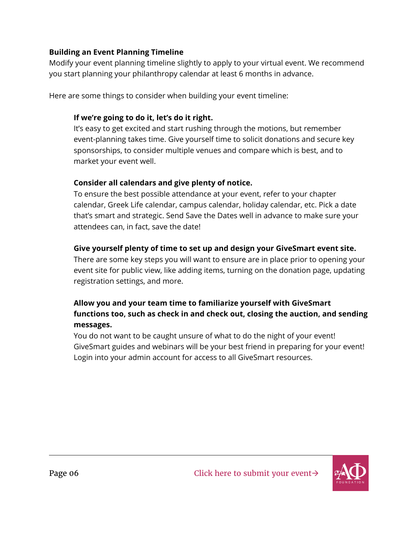#### **Building an Event Planning Timeline**

Modify your event planning timeline slightly to apply to your virtual event. We recommend you start planning your philanthropy calendar at least 6 months in advance.

Here are some things to consider when building your event timeline:

### **If we're going to do it, let's do it right.**

It's easy to get excited and start rushing through the motions, but remember event-planning takes time. Give yourself time to solicit donations and secure key sponsorships, to consider multiple venues and compare which is best, and to market your event well.

### **Consider all calendars and give plenty of notice.**

To ensure the best possible attendance at your event, refer to your chapter calendar, Greek Life calendar, campus calendar, holiday calendar, etc. Pick a date that's smart and strategic. Send Save the Dates well in advance to make sure your attendees can, in fact, save the date!

### **Give yourself plenty of time to set up and design your GiveSmart event site.**

There are some key steps you will want to ensure are in place prior to opening your event site for public view, like adding items, turning on the donation page, updating registration settings, and more.

### **Allow you and your team time to familiarize yourself with GiveSmart functions too, such as check in and check out, closing the auction, and sending messages.**

You do not want to be caught unsure of what to do the night of your event! GiveSmart guides and webinars will be your best friend in preparing for your event! Login into your admin account for access to all GiveSmart resources.

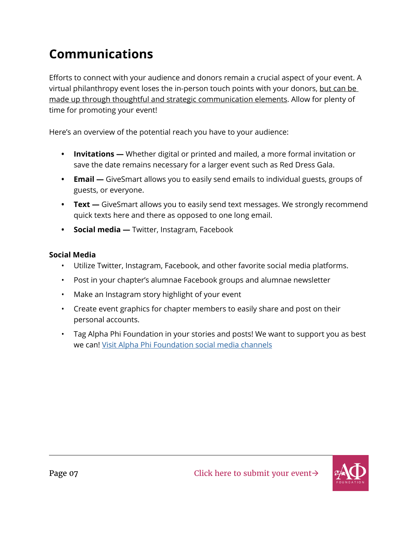# <span id="page-9-0"></span>**Communications**

Efforts to connect with your audience and donors remain a crucial aspect of your event. A virtual philanthropy event loses the in-person touch points with your donors, but can be made up through thoughtful and strategic communication elements. Allow for plenty of time for promoting your event!

Here's an overview of the potential reach you have to your audience:

- **• Invitations —** Whether digital or printed and mailed, a more formal invitation or save the date remains necessary for a larger event such as Red Dress Gala.
- **• Email** GiveSmart allows you to easily send emails to individual guests, groups of guests, or everyone.
- **• Text** GiveSmart allows you to easily send text messages. We strongly recommend quick texts here and there as opposed to one long email.
- **• Social media** Twitter, Instagram, Facebook

### **Social Media**

- Utilize Twitter, Instagram, Facebook, and other favorite social media platforms.
- Post in your chapter's alumnae Facebook groups and alumnae newsletter
- Make an Instagram story highlight of your event
- Create event graphics for chapter members to easily share and post on their personal accounts.
- Tag Alpha Phi Foundation in your stories and posts! We want to support you as best we can! [Visit Alpha Phi Foundation social media channels](https://qrco.de/bbQXQy)

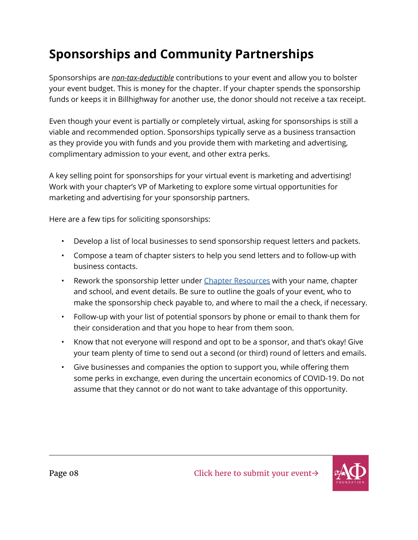# <span id="page-10-0"></span>**Sponsorships and Community Partnerships**

Sponsorships are *non-tax-deductible* contributions to your event and allow you to bolster your event budget. This is money for the chapter. If your chapter spends the sponsorship funds or keeps it in Billhighway for another use, the donor should not receive a tax receipt.

Even though your event is partially or completely virtual, asking for sponsorships is still a viable and recommended option. Sponsorships typically serve as a business transaction as they provide you with funds and you provide them with marketing and advertising, complimentary admission to your event, and other extra perks.

A key selling point for sponsorships for your virtual event is marketing and advertising! Work with your chapter's VP of Marketing to explore some virtual opportunities for marketing and advertising for your sponsorship partners.

Here are a few tips for soliciting sponsorships:

- Develop a list of local businesses to send sponsorship request letters and packets.
- Compose a team of chapter sisters to help you send letters and to follow-up with business contacts.
- Rework the sponsorship letter under [Chapter Resources](https://www.alphaphifoundation.org/resources/toolkit/) with your name, chapter and school, and event details. Be sure to outline the goals of your event, who to make the sponsorship check payable to, and where to mail the a check, if necessary.
- Follow-up with your list of potential sponsors by phone or email to thank them for their consideration and that you hope to hear from them soon.
- Know that not everyone will respond and opt to be a sponsor, and that's okay! Give your team plenty of time to send out a second (or third) round of letters and emails.
- Give businesses and companies the option to support you, while offering them some perks in exchange, even during the uncertain economics of COVID-19. Do not assume that they cannot or do not want to take advantage of this opportunity.

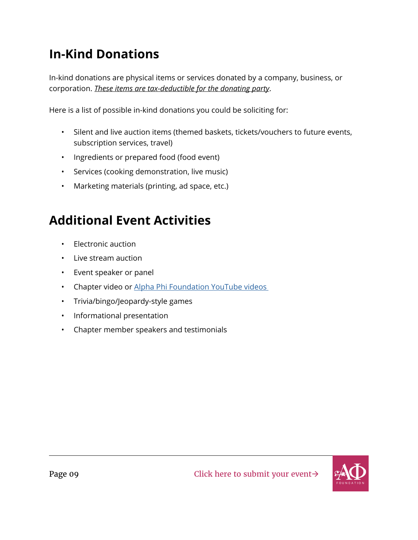# <span id="page-11-0"></span>**In-Kind Donations**

In-kind donations are physical items or services donated by a company, business, or corporation. *These items are tax-deductible for the donating party*.

Here is a list of possible in-kind donations you could be soliciting for:

- Silent and live auction items (themed baskets, tickets/vouchers to future events, subscription services, travel)
- Ingredients or prepared food (food event)
- Services (cooking demonstration, live music)
- Marketing materials (printing, ad space, etc.)

# **Additional Event Activities**

- Electronic auction
- Live stream auction
- Event speaker or panel
- Chapter video or Alpha Phi Foundation YouTube videos
- Trivia/bingo/Jeopardy-style games
- Informational presentation
- Chapter member speakers and testimonials

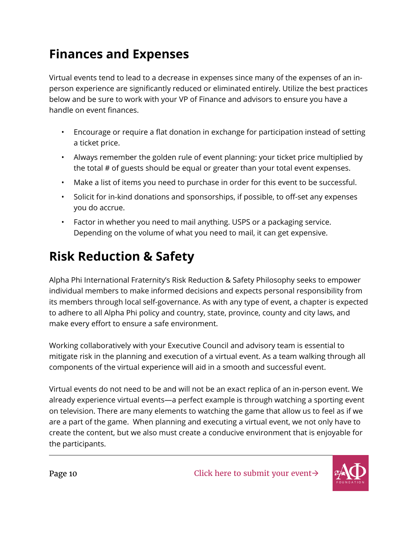# <span id="page-12-0"></span>**Finances and Expenses**

Virtual events tend to lead to a decrease in expenses since many of the expenses of an inperson experience are significantly reduced or eliminated entirely. Utilize the best practices below and be sure to work with your VP of Finance and advisors to ensure you have a handle on event finances.

- Encourage or require a flat donation in exchange for participation instead of setting a ticket price.
- Always remember the golden rule of event planning: your ticket price multiplied by the total # of guests should be equal or greater than your total event expenses.
- Make a list of items you need to purchase in order for this event to be successful.
- Solicit for in-kind donations and sponsorships, if possible, to off-set any expenses you do accrue.
- Factor in whether you need to mail anything. USPS or a packaging service. Depending on the volume of what you need to mail, it can get expensive.

# **Risk Reduction & Safety**

Alpha Phi International Fraternity's Risk Reduction & Safety Philosophy seeks to empower individual members to make informed decisions and expects personal responsibility from its members through local self-governance. As with any type of event, a chapter is expected to adhere to all Alpha Phi policy and country, state, province, county and city laws, and make every effort to ensure a safe environment.

Working collaboratively with your Executive Council and advisory team is essential to mitigate risk in the planning and execution of a virtual event. As a team walking through all components of the virtual experience will aid in a smooth and successful event.

Virtual events do not need to be and will not be an exact replica of an in-person event. We already experience virtual events—a perfect example is through watching a sporting event on television. There are many elements to watching the game that allow us to feel as if we are a part of the game. When planning and executing a virtual event, we not only have to create the content, but we also must create a conducive environment that is enjoyable for the participants.

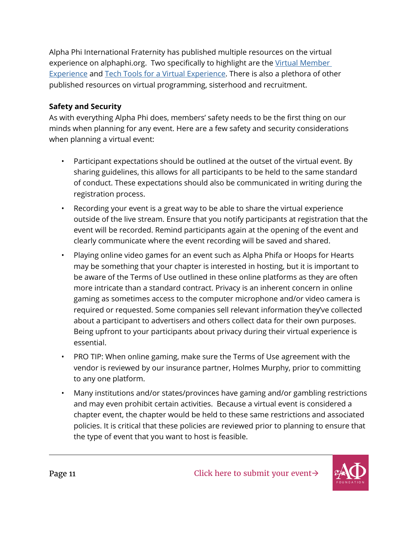Alpha Phi International Fraternity has published multiple resources on the virtual experience on alphaphi.org. Two specifically to highlight are the Virtual Member [Experience](https://alphaphi.org/resources/virtual-membership-experience/) and [Tech Tools for a Virtual Experience](https://alphaphi.org/resources/virtual-member-experience-technology-tools/). There is also a plethora of other published resources on virtual programming, sisterhood and recruitment.

#### **Safety and Security**

As with everything Alpha Phi does, members' safety needs to be the first thing on our minds when planning for any event. Here are a few safety and security considerations when planning a virtual event:

- Participant expectations should be outlined at the outset of the virtual event. By sharing guidelines, this allows for all participants to be held to the same standard of conduct. These expectations should also be communicated in writing during the registration process.
- Recording your event is a great way to be able to share the virtual experience outside of the live stream. Ensure that you notify participants at registration that the event will be recorded. Remind participants again at the opening of the event and clearly communicate where the event recording will be saved and shared.
- Playing online video games for an event such as Alpha Phifa or Hoops for Hearts may be something that your chapter is interested in hosting, but it is important to be aware of the Terms of Use outlined in these online platforms as they are often more intricate than a standard contract. Privacy is an inherent concern in online gaming as sometimes access to the computer microphone and/or video camera is required or requested. Some companies sell relevant information they've collected about a participant to advertisers and others collect data for their own purposes. Being upfront to your participants about privacy during their virtual experience is essential.
- PRO TIP: When online gaming, make sure the Terms of Use agreement with the vendor is reviewed by our insurance partner, Holmes Murphy, prior to committing to any one platform.
- Many institutions and/or states/provinces have gaming and/or gambling restrictions and may even prohibit certain activities. Because a virtual event is considered a chapter event, the chapter would be held to these same restrictions and associated policies. It is critical that these policies are reviewed prior to planning to ensure that the type of event that you want to host is feasible.

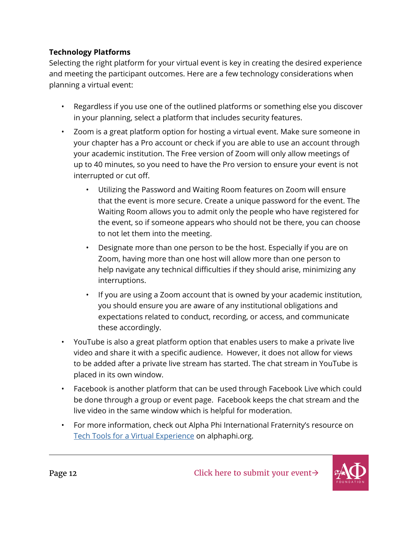### **Technology Platforms**

Selecting the right platform for your virtual event is key in creating the desired experience and meeting the participant outcomes. Here are a few technology considerations when planning a virtual event:

- Regardless if you use one of the outlined platforms or something else you discover in your planning, select a platform that includes security features.
- Zoom is a great platform option for hosting a virtual event. Make sure someone in your chapter has a Pro account or check if you are able to use an account through your academic institution. The Free version of Zoom will only allow meetings of up to 40 minutes, so you need to have the Pro version to ensure your event is not interrupted or cut off.
	- Utilizing the Password and Waiting Room features on Zoom will ensure that the event is more secure. Create a unique password for the event. The Waiting Room allows you to admit only the people who have registered for the event, so if someone appears who should not be there, you can choose to not let them into the meeting.
	- Designate more than one person to be the host. Especially if you are on Zoom, having more than one host will allow more than one person to help navigate any technical difficulties if they should arise, minimizing any interruptions.
	- If you are using a Zoom account that is owned by your academic institution, you should ensure you are aware of any institutional obligations and expectations related to conduct, recording, or access, and communicate these accordingly.
- YouTube is also a great platform option that enables users to make a private live video and share it with a specific audience. However, it does not allow for views to be added after a private live stream has started. The chat stream in YouTube is placed in its own window.
- Facebook is another platform that can be used through Facebook Live which could be done through a group or event page. Facebook keeps the chat stream and the live video in the same window which is helpful for moderation.
- For more information, check out Alpha Phi International Fraternity's resource on [Tech Tools for a Virtual Experience](https://alphaphi.org/resources/virtual-member-experience-technology-tools/) on alphaphi.org.

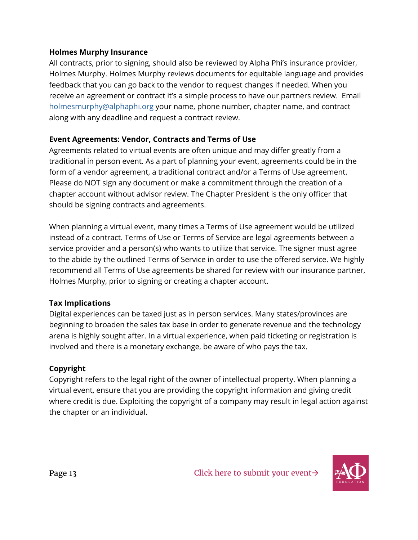#### **Holmes Murphy Insurance**

All contracts, prior to signing, should also be reviewed by Alpha Phi's insurance provider, Holmes Murphy. Holmes Murphy reviews documents for equitable language and provides feedback that you can go back to the vendor to request changes if needed. When you receive an agreement or contract it's a simple process to have our partners review. Email [holmesmurphy@alphaphi.org](mailto:holmesmurphy%40alphaphi.org?subject=) your name, phone number, chapter name, and contract along with any deadline and request a contract review.

#### **Event Agreements: Vendor, Contracts and Terms of Use**

Agreements related to virtual events are often unique and may differ greatly from a traditional in person event. As a part of planning your event, agreements could be in the form of a vendor agreement, a traditional contract and/or a Terms of Use agreement. Please do NOT sign any document or make a commitment through the creation of a chapter account without advisor review. The Chapter President is the only officer that should be signing contracts and agreements.

When planning a virtual event, many times a Terms of Use agreement would be utilized instead of a contract. Terms of Use or Terms of Service are legal agreements between a service provider and a person(s) who wants to utilize that service. The signer must agree to the abide by the outlined Terms of Service in order to use the offered service. We highly recommend all Terms of Use agreements be shared for review with our insurance partner, Holmes Murphy, prior to signing or creating a chapter account.

#### **Tax Implications**

Digital experiences can be taxed just as in person services. Many states/provinces are beginning to broaden the sales tax base in order to generate revenue and the technology arena is highly sought after. In a virtual experience, when paid ticketing or registration is involved and there is a monetary exchange, be aware of who pays the tax.

### **Copyright**

Copyright refers to the legal right of the owner of intellectual property. When planning a virtual event, ensure that you are providing the copyright information and giving credit where credit is due. Exploiting the copyright of a company may result in legal action against the chapter or an individual.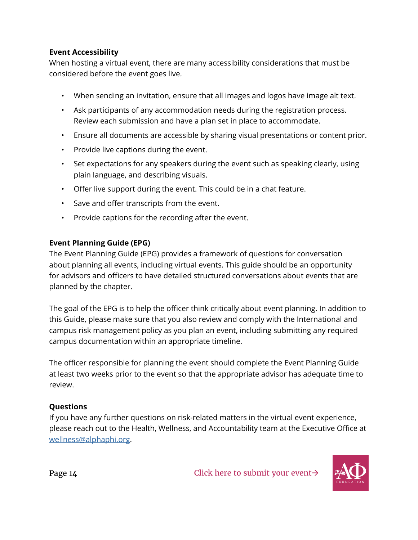#### **Event Accessibility**

When hosting a virtual event, there are many accessibility considerations that must be considered before the event goes live.

- When sending an invitation, ensure that all images and logos have image alt text.
- Ask participants of any accommodation needs during the registration process. Review each submission and have a plan set in place to accommodate.
- Ensure all documents are accessible by sharing visual presentations or content prior.
- Provide live captions during the event.
- Set expectations for any speakers during the event such as speaking clearly, using plain language, and describing visuals.
- Offer live support during the event. This could be in a chat feature.
- Save and offer transcripts from the event.
- Provide captions for the recording after the event.

#### **Event Planning Guide (EPG)**

The Event Planning Guide (EPG) provides a framework of questions for conversation about planning all events, including virtual events. This guide should be an opportunity for advisors and officers to have detailed structured conversations about events that are planned by the chapter.

The goal of the EPG is to help the officer think critically about event planning. In addition to this Guide, please make sure that you also review and comply with the International and campus risk management policy as you plan an event, including submitting any required campus documentation within an appropriate timeline.

The officer responsible for planning the event should complete the Event Planning Guide at least two weeks prior to the event so that the appropriate advisor has adequate time to review.

#### **Questions**

If you have any further questions on risk-related matters in the virtual event experience, please reach out to the Health, Wellness, and Accountability team at the Executive Office at [wellness@alphaphi.org](mailto:wellness%40alphaphi.org?subject=).

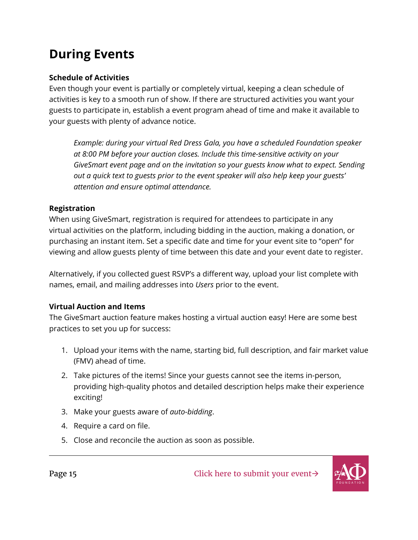# <span id="page-17-0"></span>**During Events**

#### **Schedule of Activities**

Even though your event is partially or completely virtual, keeping a clean schedule of activities is key to a smooth run of show. If there are structured activities you want your guests to participate in, establish a event program ahead of time and make it available to your guests with plenty of advance notice.

*Example: during your virtual Red Dress Gala, you have a scheduled Foundation speaker at 8:00 PM before your auction closes. Include this time-sensitive activity on your GiveSmart event page and on the invitation so your guests know what to expect. Sending out a quick text to guests prior to the event speaker will also help keep your guests' attention and ensure optimal attendance.* 

#### **Registration**

When using GiveSmart, registration is required for attendees to participate in any virtual activities on the platform, including bidding in the auction, making a donation, or purchasing an instant item. Set a specific date and time for your event site to "open" for viewing and allow guests plenty of time between this date and your event date to register.

Alternatively, if you collected guest RSVP's a different way, upload your list complete with names, email, and mailing addresses into *Users* prior to the event.

### **Virtual Auction and Items**

The GiveSmart auction feature makes hosting a virtual auction easy! Here are some best practices to set you up for success:

- 1. Upload your items with the name, starting bid, full description, and fair market value (FMV) ahead of time.
- 2. Take pictures of the items! Since your guests cannot see the items in-person, providing high-quality photos and detailed description helps make their experience exciting!
- 3. Make your guests aware of *auto-bidding*.
- 4. Require a card on file.
- 5. Close and reconcile the auction as soon as possible.

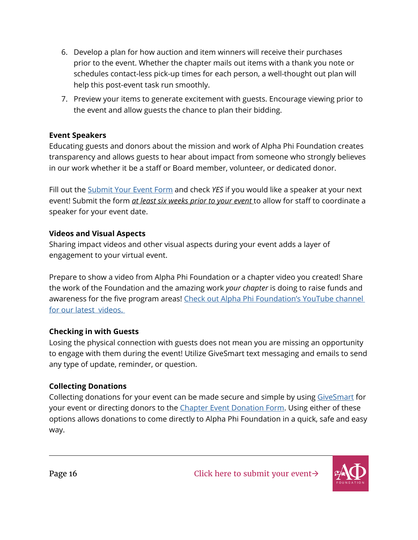- <span id="page-18-0"></span>6. Develop a plan for how auction and item winners will receive their purchases prior to the event. Whether the chapter mails out items with a thank you note or schedules contact-less pick-up times for each person, a well-thought out plan will help this post-event task run smoothly.
- 7. Preview your items to generate excitement with guests. Encourage viewing prior to the event and allow guests the chance to plan their bidding.

#### **Event Speakers**

Educating guests and donors about the mission and work of Alpha Phi Foundation creates transparency and allows guests to hear about impact from someone who strongly believes in our work whether it be a staff or Board member, volunteer, or dedicated donor.

Fill out the [Submit Your Event Form](https://www.alphaphifoundation.org/resources/submit-your-event/) and check *YES* if you would like a speaker at your next event! Submit the form *at least six weeks prior to your event* to allow for staff to coordinate a speaker for your event date.

#### **Videos and Visual Aspects**

Sharing impact videos and other visual aspects during your event adds a layer of engagement to your virtual event.

Prepare to show a video from Alpha Phi Foundation or a chapter video you created! Share the work of the Foundation and the amazing work *your chapter* is doing to raise funds and awareness for the five program areas! Check out Alpha Phi Foundation's YouTube channel [for our latest videos.](https://www.youtube.com/user/AlphaPhiFoundation/featured) 

### **Checking in with Guests**

Losing the physical connection with guests does not mean you are missing an opportunity to engage with them during the event! Utilize GiveSmart text messaging and emails to send any type of update, reminder, or question.

### **Collecting Donations**

Collecting donations for your event can be made secure and simple by using [GiveSmart](https://www.alphaphifoundation.org/resources/givesmart/) for your event or directing donors to the [Chapter Event Donation Form.](https://www.alphaphifoundation.org/resources/toolkit/chapterdonations/) Using either of these options allows donations to come directly to Alpha Phi Foundation in a quick, safe and easy way.

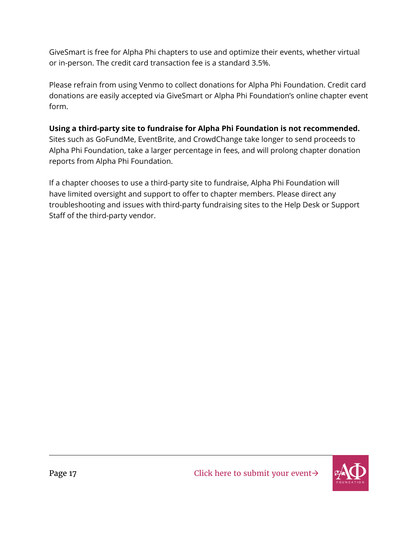GiveSmart is free for Alpha Phi chapters to use and optimize their events, whether virtual or in-person. The credit card transaction fee is a standard 3.5%.

Please refrain from using Venmo to collect donations for Alpha Phi Foundation. Credit card donations are easily accepted via GiveSmart or Alpha Phi Foundation's online chapter event form.

### **Using a third-party site to fundraise for Alpha Phi Foundation is not recommended.**

Sites such as GoFundMe, EventBrite, and CrowdChange take longer to send proceeds to Alpha Phi Foundation, take a larger percentage in fees, and will prolong chapter donation reports from Alpha Phi Foundation.

If a chapter chooses to use a third-party site to fundraise, Alpha Phi Foundation will have limited oversight and support to offer to chapter members. Please direct any troubleshooting and issues with third-party fundraising sites to the Help Desk or Support Staff of the third-party vendor.

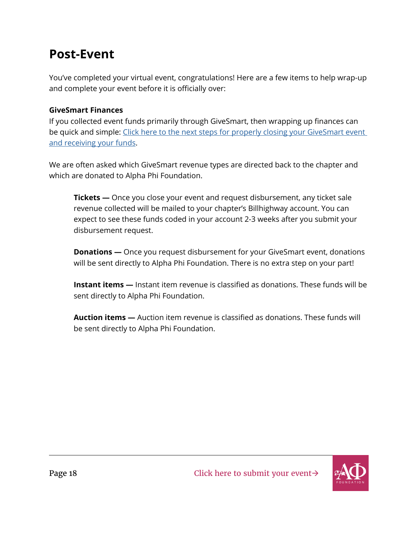### <span id="page-20-0"></span>**Post-Event**

You've completed your virtual event, congratulations! Here are a few items to help wrap-up and complete your event before it is officially over:

### **GiveSmart Finances**

If you collected event funds primarily through GiveSmart, then wrapping up finances can be quick and simple: Click here to the next steps for properly closing your GiveSmart event [and receiving your funds.](https://www.alphaphifoundation.org/resources/givesmart/event-close-out/)

We are often asked which GiveSmart revenue types are directed back to the chapter and which are donated to Alpha Phi Foundation.

**Tickets —** Once you close your event and request disbursement, any ticket sale revenue collected will be mailed to your chapter's Billhighway account. You can expect to see these funds coded in your account 2-3 weeks after you submit your disbursement request.

**Donations —** Once you request disbursement for your GiveSmart event, donations will be sent directly to Alpha Phi Foundation. There is no extra step on your part!

**Instant items —** Instant item revenue is classified as donations. These funds will be sent directly to Alpha Phi Foundation.

**Auction items —** Auction item revenue is classified as donations. These funds will be sent directly to Alpha Phi Foundation.

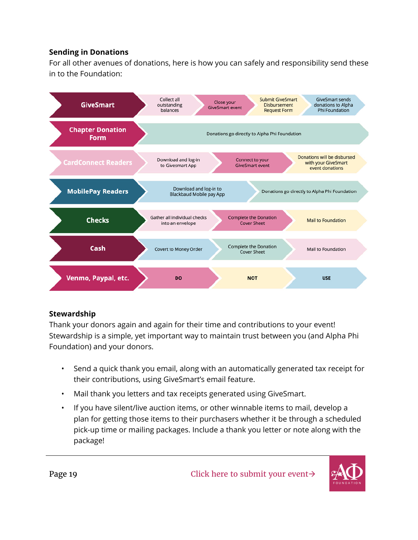#### <span id="page-21-0"></span>**Sending in Donations**

For all other avenues of donations, here is how you can safely and responsibility send these in to the Foundation:



#### **Stewardship**

Thank your donors again and again for their time and contributions to your event! Stewardship is a simple, yet important way to maintain trust between you (and Alpha Phi Foundation) and your donors.

- Send a quick thank you email, along with an automatically generated tax receipt for their contributions, using GiveSmart's email feature.
- Mail thank you letters and tax receipts generated using GiveSmart.
- If you have silent/live auction items, or other winnable items to mail, develop a plan for getting those items to their purchasers whether it be through a scheduled pick-up time or mailing packages. Include a thank you letter or note along with the package!

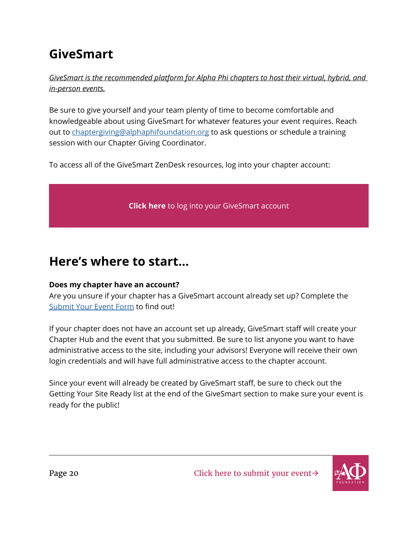# <span id="page-22-0"></span>**GiveSmart**

*GiveSmart is the recommended platform for Alpha Phi chapters to host their virtual, hybrid, and in-person events.*

Be sure to give yourself and your team plenty of time to become comfortable and knowledgeable about using GiveSmart for whatever features your event requires. Reach out to [chaptergiving@alphaphifoundation.org](mailto:chaptergiving%40alphaphifoundation.org?subject=) to ask questions or schedule a training session with our Chapter Giving Coordinator.

To access all of the GiveSmart ZenDesk resources, log into your chapter account:

**Click here** [to log into your GiveSmart account](https://e.givesmart.com/s/e/)

### **Here's where to start…**

### **Does my chapter have an account?**

Are you unsure if your chapter has a GiveSmart account already set up? Complete the [Submit Your Event Form](https://www.alphaphifoundation.org/resources/submit-your-event/) to find out!

If your chapter does not have an account set up already, GiveSmart staff will create your Chapter Hub and the event that you submitted. Be sure to list anyone you want to have administrative access to the site, including your advisors! Everyone will receive their own login credentials and will have full administrative access to the chapter account.

Since your event will already be created by GiveSmart staff, be sure to check out the Getting Your Site Ready list at the end of the GiveSmart section to make sure your event is ready for the public!



Page 20 Click here to submit your event→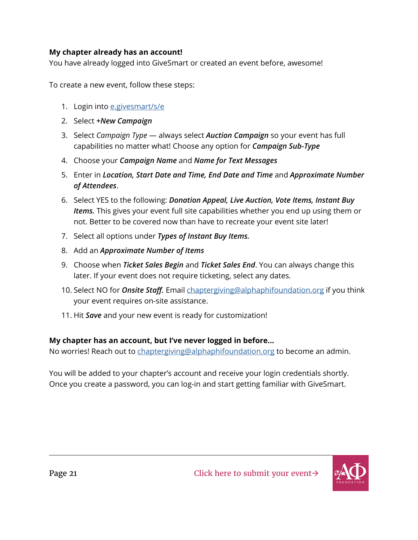#### **My chapter already has an account!**

You have already logged into GiveSmart or created an event before, awesome!

To create a new event, follow these steps:

- 1. Login into [e.givesmart/s/e](https://e.givesmart.com/s/e/)
- 2. Select *+New Campaign*
- 3. Select *Campaign Type* always select *Auction Campaign* so your event has full capabilities no matter what! Choose any option for *Campaign Sub-Type*
- 4. Choose your *Campaign Name* and *Name for Text Messages*
- 5. Enter in *Location, Start Date and Time, End Date and Time* and *Approximate Number of Attendees*.
- 6. Select YES to the following: *Donation Appeal, Live Auction, Vote Items, Instant Buy Items.* This gives your event full site capabilities whether you end up using them or not. Better to be covered now than have to recreate your event site later!
- 7. Select all options under *Types of Instant Buy Items.*
- 8. Add an *Approximate Number of Items*
- 9. Choose when *Ticket Sales Begin* and *Ticket Sales End*. You can always change this later. If your event does not require ticketing, select any dates.
- 10. Select NO for *Onsite Staff.* Email [chaptergiving@alphaphifoundation.org](mailto:chaptergiving%40alphaphifoundation.org?subject=) if you think your event requires on-site assistance.
- 11. Hit *Save* and your new event is ready for customization!

#### **My chapter has an account, but I've never logged in before...**

No worries! Reach out to [chaptergiving@alphaphifoundation.org](mailto:chaptergiving%40alphaphifoundation.org?subject=) to become an admin.

You will be added to your chapter's account and receive your login credentials shortly. Once you create a password, you can log-in and start getting familiar with GiveSmart.

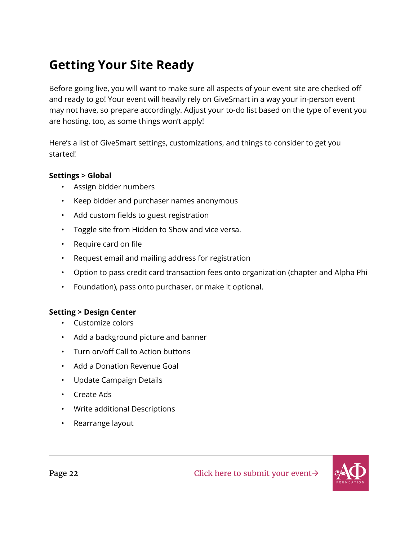# <span id="page-24-0"></span>**Getting Your Site Ready**

Before going live, you will want to make sure all aspects of your event site are checked off and ready to go! Your event will heavily rely on GiveSmart in a way your in-person event may not have, so prepare accordingly. Adjust your to-do list based on the type of event you are hosting, too, as some things won't apply!

Here's a list of GiveSmart settings, customizations, and things to consider to get you started!

#### **Settings > Global**

- Assign bidder numbers
- Keep bidder and purchaser names anonymous
- Add custom fields to guest registration
- Toggle site from Hidden to Show and vice versa.
- Require card on file
- Request email and mailing address for registration
- Option to pass credit card transaction fees onto organization (chapter and Alpha Phi
- Foundation), pass onto purchaser, or make it optional.

#### **Setting > Design Center**

- Customize colors
- Add a background picture and banner
- Turn on/off Call to Action buttons
- Add a Donation Revenue Goal
- Update Campaign Details
- Create Ads
- Write additional Descriptions
- Rearrange layout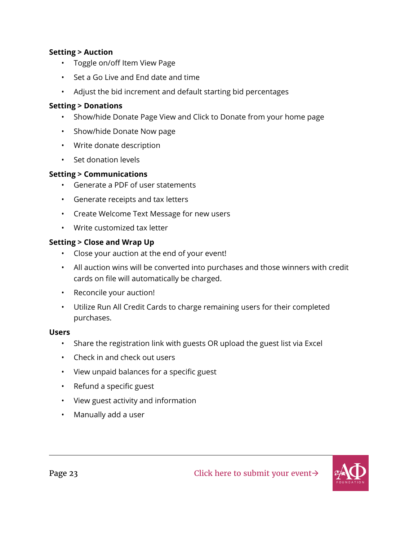#### **Setting > Auction**

- Toggle on/off Item View Page
- Set a Go Live and End date and time
- Adjust the bid increment and default starting bid percentages

#### **Setting > Donations**

- Show/hide Donate Page View and Click to Donate from your home page
- Show/hide Donate Now page
- Write donate description
- Set donation levels

#### **Setting > Communications**

- Generate a PDF of user statements
- Generate receipts and tax letters
- Create Welcome Text Message for new users
- Write customized tax letter

#### **Setting > Close and Wrap Up**

- Close your auction at the end of your event!
- All auction wins will be converted into purchases and those winners with credit cards on file will automatically be charged.
- Reconcile your auction!
- Utilize Run All Credit Cards to charge remaining users for their completed purchases.

#### **Users**

- Share the registration link with guests OR upload the guest list via Excel
- Check in and check out users
- View unpaid balances for a specific guest
- Refund a specific guest
- View guest activity and information
- Manually add a user

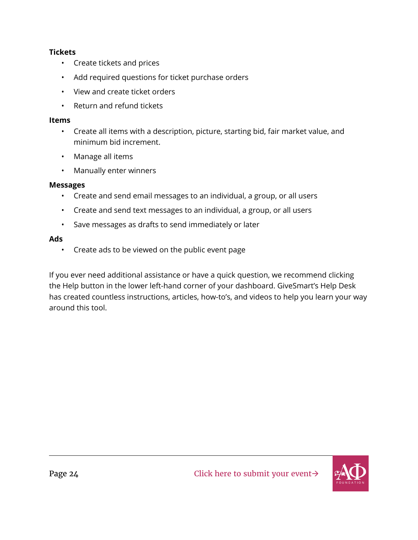#### **Tickets**

- Create tickets and prices
- Add required questions for ticket purchase orders
- View and create ticket orders
- Return and refund tickets

#### **Items**

- Create all items with a description, picture, starting bid, fair market value, and minimum bid increment.
- Manage all items
- Manually enter winners

#### **Messages**

- Create and send email messages to an individual, a group, or all users
- Create and send text messages to an individual, a group, or all users
- Save messages as drafts to send immediately or later

#### **Ads**

• Create ads to be viewed on the public event page

If you ever need additional assistance or have a quick question, we recommend clicking the Help button in the lower left-hand corner of your dashboard. GiveSmart's Help Desk has created countless instructions, articles, how-to's, and videos to help you learn your way around this tool.